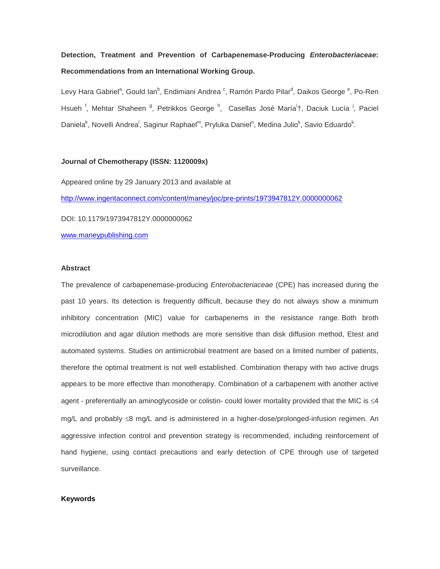# **Detection, Treatment and Prevention of Carbapenemase-Producing** *Enterobacteriaceae***: Recommendations from an International Working Group.**

Levy Hara Gabriel<sup>a</sup>, Gould Ian<sup>b</sup>, Endimiani Andrea <sup>c</sup>, Ramón Pardo Pilar<sup>d</sup>, Daikos George <sup>e</sup>, Po-Ren Hsueh<sup>f</sup>, Mehtar Shaheen<sup>g</sup>, Petrikkos George<sup>h</sup>, Casellas José María<sup>i</sup>†, Daciuk Lucía<sup>j</sup>, Paciel Daniela<sup>k</sup>, Novelli Andrea<sup>l</sup>, Saginur Raphael<sup>m</sup>, Pryluka Daniel<sup>n</sup>, Medina Julio<sup>k</sup>, Savio Eduardo<sup>k</sup>.

#### **Journal of Chemotherapy (ISSN: 1120009x)**

Appeared online by 29 January 2013 and available at <http://www.ingentaconnect.com/content/maney/joc/pre-prints/1973947812Y.0000000062> DOI: 10.1179/1973947812Y.0000000062 [www.maneypublishing.com](http://www.maneypublishing.com/)

#### **Abstract**

The prevalence of carbapenemase-producing *Enterobacteriaceae* (CPE) has increased during the past 10 years. Its detection is frequently difficult, because they do not always show a minimum inhibitory concentration (MIC) value for carbapenems in the resistance range. Both broth microdilution and agar dilution methods are more sensitive than disk diffusion method, Etest and automated systems. Studies on antimicrobial treatment are based on a limited number of patients, therefore the optimal treatment is not well established. Combination therapy with two active drugs appears to be more effective than monotherapy. Combination of a carbapenem with another active agent - preferentially an aminoglycoside or colistin- could lower mortality provided that the MIC is ≤4 mg/L and probably ≤8 mg/L and is administered in a higher-dose/prolonged-infusion regimen. An aggressive infection control and prevention strategy is recommended, including reinforcement of hand hygiene, using contact precautions and early detection of CPE through use of targeted surveillance.

#### **Keywords**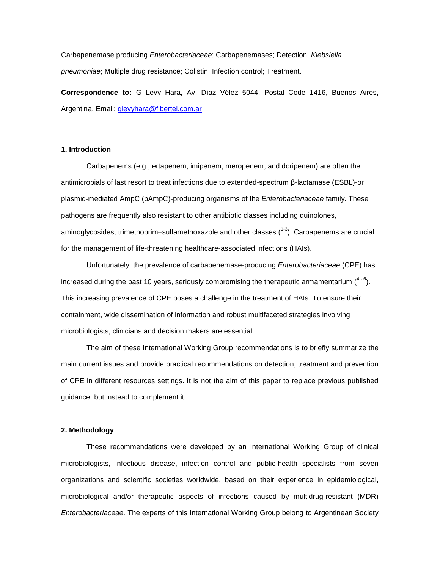Carbapenemase producing *Enterobacteriaceae*; Carbapenemases; Detection; *Klebsiella pneumoniae*; Multiple drug resistance; Colistin; Infection control; Treatment.

**Correspondence to:** G Levy Hara, Av. Díaz Vélez 5044, Postal Code 1416, Buenos Aires, Argentina. Email: [glevyhara@fibertel.com.ar](mailto:glevyhara@fibertel.com.ar)

#### **1. Introduction**

Carbapenems (e.g., ertapenem, imipenem, meropenem, and doripenem) are often the antimicrobials of last resort to treat infections due to extended-spectrum β-lactamase (ESBL)-or plasmid-mediated AmpC (pAmpC)-producing organisms of the *Enterobacteriaceae* family. These pathogens are frequently also resistant to other antibiotic classes including quinolones, aminoglycosides, trimethoprim–sulfamethoxazole and other classes (<sup>1-3</sup>). Carbapenems are crucial for the management of life-threatening healthcare-associated infections (HAIs).

Unfortunately, the prevalence of carbapenemase-producing *Enterobacteriaceae* (CPE) has increased during the past 10 years, seriously compromising the therapeutic armamentarium  $(^{4-6})$ . This increasing prevalence of CPE poses a challenge in the treatment of HAIs. To ensure their containment, wide dissemination of information and robust multifaceted strategies involving microbiologists, clinicians and decision makers are essential.

The aim of these International Working Group recommendations is to briefly summarize the main current issues and provide practical recommendations on detection, treatment and prevention of CPE in different resources settings. It is not the aim of this paper to replace previous published guidance, but instead to complement it.

#### **2. Methodology**

These recommendations were developed by an International Working Group of clinical microbiologists, infectious disease, infection control and public-health specialists from seven organizations and scientific societies worldwide, based on their experience in epidemiological, microbiological and/or therapeutic aspects of infections caused by multidrug-resistant (MDR) *Enterobacteriaceae*. The experts of this International Working Group belong to Argentinean Society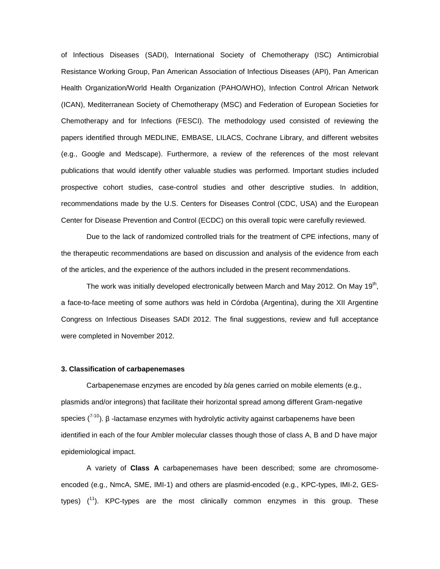of Infectious Diseases (SADI), International Society of Chemotherapy (ISC) Antimicrobial Resistance Working Group, Pan American Association of Infectious Diseases (API), Pan American Health Organization/World Health Organization (PAHO/WHO), Infection Control African Network (ICAN), Mediterranean Society of Chemotherapy (MSC) and Federation of European Societies for Chemotherapy and for Infections (FESCI). The methodology used consisted of reviewing the papers identified through MEDLINE, EMBASE, LILACS, Cochrane Library, and different websites (e.g., Google and Medscape). Furthermore, a review of the references of the most relevant publications that would identify other valuable studies was performed. Important studies included prospective cohort studies, case-control studies and other descriptive studies. In addition, recommendations made by the U.S. Centers for Diseases Control (CDC, USA) and the European Center for Disease Prevention and Control (ECDC) on this overall topic were carefully reviewed.

Due to the lack of randomized controlled trials for the treatment of CPE infections, many of the therapeutic recommendations are based on discussion and analysis of the evidence from each of the articles, and the experience of the authors included in the present recommendations.

The work was initially developed electronically between March and May 2012. On May 19<sup>th</sup>, a face-to-face meeting of some authors was held in Córdoba (Argentina), during the XII Argentine Congress on Infectious Diseases SADI 2012. The final suggestions, review and full acceptance were completed in November 2012.

#### **3. Classification of carbapenemases**

Carbapenemase enzymes are encoded by *bla* genes carried on mobile elements (e.g., plasmids and/or integrons) that facilitate their horizontal spread among different Gram-negative species  $(7^{10})$ . β -lactamase enzymes with hydrolytic activity against carbapenems have been identified in each of the four Ambler molecular classes though those of class A, B and D have major epidemiological impact.

A variety of **Class A** carbapenemases have been described; some are chromosomeencoded (e.g., NmcA, SME, IMI-1) and others are plasmid-encoded (e.g., KPC-types, IMI-2, GEStypes)  $(^{11})$ . KPC-types are the most clinically common enzymes in this group. These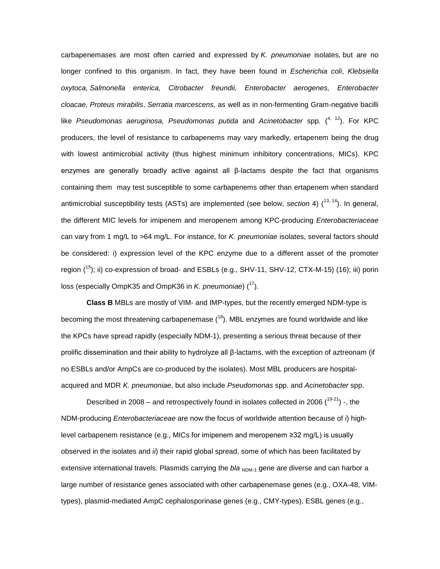carbapenemases are most often carried and expressed by *K. pneumoniae* isolates*,* but are no longer confined to this organism. In fact, they have been found in *Escherichia coli*, *Klebsiella oxytoca, Salmonella enterica, Citrobacter freundii, Enterobacter aerogenes, Enterobacter cloacae, Proteus mirabilis*, *Serratia marcescens,* as well as in non-fermenting Gram-negative bacilli like Pseudomonas aeruginosa, Pseudomonas putida and Acinetobacter spp. (<sup>4, 12</sup>). For KPC producers, the level of resistance to carbapenems may vary markedly, ertapenem being the drug with lowest antimicrobial activity (thus highest minimum inhibitory concentrations, MICs). KPC enzymes are generally broadly active against all β-lactams despite the fact that organisms containing them may test susceptible to some carbapenems other than ertapenem when standard antimicrobial susceptibility tests (ASTs) are implemented (see below, *section* 4) (<sup>13, 14</sup>). In general, the different MIC levels for imipenem and meropenem among KPC-producing *Enterobacteriaceae* can vary from 1 mg/L to >64 mg/L. For instance, for *K. pneumoniae* isolates, several factors should be considered: i) expression level of the KPC enzyme due to a different asset of the promoter region (<sup>15</sup>); ii) co-expression of broad- and ESBLs (e.g., SHV-11, SHV-12, CTX-M-15) (16); iii) porin loss (especially OmpK35 and OmpK36 in *K. pneumoniae*) (<sup>17</sup>).

**Class B** MBLs are mostly of VIM- and IMP-types, but the recently emerged NDM-type is becoming the most threatening carbapenemase  $(18)$ . MBL enzymes are found worldwide and like the KPCs have spread rapidly (especially NDM-1), presenting a serious threat because of their prolific dissemination and their ability to hydrolyze all β-lactams, with the exception of aztreonam (if no ESBLs and/or AmpCs are co-produced by the isolates). Most MBL producers are hospitalacquired and MDR *K. pneumoniae*, but also include *Pseudomonas* spp. and *Acinetobacter* spp.

Described in 2008 – and retrospectively found in isolates collected in 2006  $(^{19-21})$  -, the NDM-producing *Enterobacteriaceae* are now the focus of worldwide attention because of *i*) highlevel carbapenem resistance (e.g., MICs for imipenem and meropenem ≥32 mg/L) is usually observed in the isolates and *ii*) their rapid global spread, some of which has been facilitated by extensive international travels. Plasmids carrying the *bla* <sub>NDM-1</sub> gene are diverse and can harbor a large number of resistance genes associated with other carbapenemase genes (e.g., OXA-48, VIMtypes), plasmid-mediated AmpC cephalosporinase genes (e.g., CMY-types), ESBL genes (e.g.,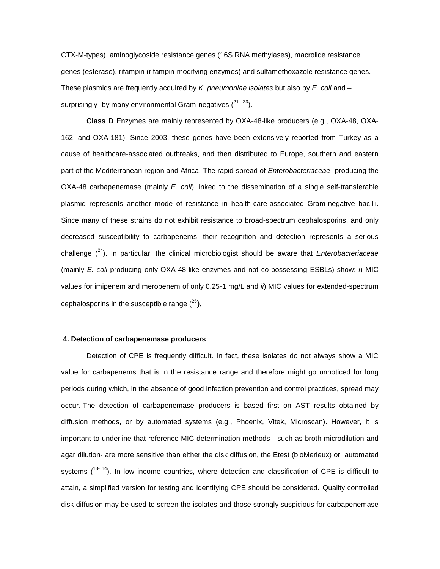CTX-M-types), aminoglycoside resistance genes (16S RNA methylases), macrolide resistance genes (esterase), rifampin (rifampin-modifying enzymes) and sulfamethoxazole resistance genes. These plasmids are frequently acquired by *K. pneumoniae isolates* but also by *E. coli* and – surprisingly- by many environmental Gram-negatives  $(2^{1-23})$ .

**Class D** Enzymes are mainly represented by OXA-48-like producers (e.g., OXA-48, OXA-162, and OXA-181). Since 2003, these genes have been extensively reported from Turkey as a cause of healthcare-associated outbreaks, and then distributed to Europe, southern and eastern part of the Mediterranean region and Africa. The rapid spread of *Enterobacteriaceae-* producing the OXA-48 carbapenemase (mainly *E. coli*) linked to the dissemination of a single self-transferable plasmid represents another mode of resistance in health-care-associated Gram-negative bacilli. Since many of these strains do not exhibit resistance to broad-spectrum cephalosporins, and only decreased susceptibility to carbapenems, their recognition and detection represents a serious challenge (24). In particular, the clinical microbiologist should be aware that *Enterobacteriaceae* (mainly *E. coli* producing only OXA-48-like enzymes and not co-possessing ESBLs) show: *i*) MIC values for imipenem and meropenem of only 0.25-1 mg/L and *ii*) MIC values for extended-spectrum cephalosporins in the susceptible range  $(^{25})$ .

#### **4. Detection of carbapenemase producers**

Detection of CPE is frequently difficult. In fact, these isolates do not always show a MIC value for carbapenems that is in the resistance range and therefore might go unnoticed for long periods during which, in the absence of good infection prevention and control practices, spread may occur. The detection of carbapenemase producers is based first on AST results obtained by diffusion methods, or by automated systems (e.g., Phoenix, Vitek, Microscan). However, it is important to underline that reference MIC determination methods - such as broth microdilution and agar dilution- are more sensitive than either the disk diffusion, the Etest (bioMerieux) or automated systems  $(1^{3-14})$ . In low income countries, where detection and classification of CPE is difficult to attain, a simplified version for testing and identifying CPE should be considered. Quality controlled disk diffusion may be used to screen the isolates and those strongly suspicious for carbapenemase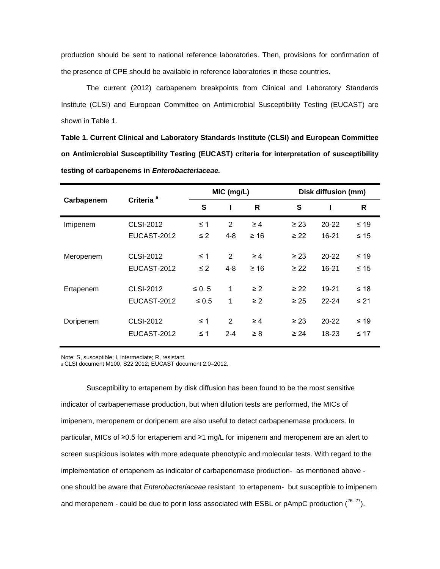production should be sent to national reference laboratories. Then, provisions for confirmation of the presence of CPE should be available in reference laboratories in these countries.

The current (2012) carbapenem breakpoints from Clinical and Laboratory Standards Institute (CLSI) and European Committee on Antimicrobial Susceptibility Testing (EUCAST) are shown in Table 1.

**Table 1. Current Clinical and Laboratory Standards Institute (CLSI) and European Committee on Antimicrobial Susceptibility Testing (EUCAST) criteria for interpretation of susceptibility testing of carbapenems in** *Enterobacteriaceae.*

| Carbapenem | Criteria <sup>a</sup> | MIC (mg/L) |         |           | Disk diffusion (mm) |           |           |
|------------|-----------------------|------------|---------|-----------|---------------------|-----------|-----------|
|            |                       | S          |         | R         | S                   |           | R         |
| Imipenem   | <b>CLSI-2012</b>      | $\leq 1$   | 2       | $\geq 4$  | $\geq$ 23           | $20 - 22$ | $≤ 19$    |
|            | EUCAST-2012           | $\leq$ 2   | $4 - 8$ | $\geq 16$ | $\geq$ 22           | $16 - 21$ | $\leq 15$ |
| Meropenem  | <b>CLSI-2012</b>      | $\leq 1$   | 2       | $\geq 4$  | $\geq 23$           | $20 - 22$ | $≤ 19$    |
|            | EUCAST-2012           | $\leq$ 2   | $4 - 8$ | $\geq 16$ | $\geq$ 22           | $16 - 21$ | $\leq 15$ |
| Ertapenem  | <b>CLSI-2012</b>      | $\leq 0.5$ | 1       | $\geq 2$  | $\geq$ 22           | 19-21     | $≤ 18$    |
|            | EUCAST-2012           | $\leq 0.5$ | 1       | $\geq 2$  | $\geq 25$           | $22 - 24$ | $\leq$ 21 |
| Doripenem  | <b>CLSI-2012</b>      | $\leq 1$   | 2       | $\geq 4$  | $\geq 23$           | $20 - 22$ | $≤ 19$    |
|            | EUCAST-2012           | $\leq 1$   | $2 - 4$ | $\geq 8$  | $\geq 24$           | 18-23     | ≤ 17      |

Note: S, susceptible; I, intermediate; R, resistant.

a CLSI document M100, S22 2012; EUCAST document 2.0–2012.

Susceptibility to ertapenem by disk diffusion has been found to be the most sensitive indicator of carbapenemase production, but when dilution tests are performed, the MICs of imipenem, meropenem or doripenem are also useful to detect carbapenemase producers. In particular, MICs of ≥0.5 for ertapenem and ≥1 mg/L for imipenem and meropenem are an alert to screen suspicious isolates with more adequate phenotypic and molecular tests. With regard to the implementation of ertapenem as indicator of carbapenemase production- as mentioned above one should be aware that *Enterobacteriaceae* resistant to ertapenem- but susceptible to imipenem and meropenem - could be due to porin loss associated with ESBL or pAmpC production  $(26-27)$ .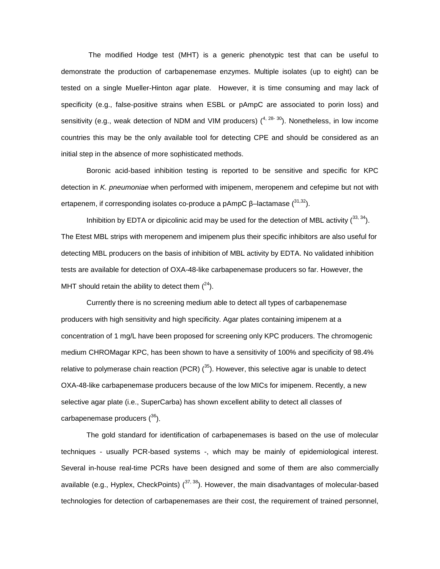The modified Hodge test (MHT) is a generic phenotypic test that can be useful to demonstrate the production of carbapenemase enzymes. Multiple isolates (up to eight) can be tested on a single Mueller-Hinton agar plate. However, it is time consuming and may lack of specificity (e.g., false-positive strains when ESBL or pAmpC are associated to porin loss) and sensitivity (e.g., weak detection of NDM and VIM producers)  $(4, 28-30)$ . Nonetheless, in low income countries this may be the only available tool for detecting CPE and should be considered as an initial step in the absence of more sophisticated methods.

Boronic acid-based inhibition testing is reported to be sensitive and specific for KPC detection in *K. pneumoniae* when performed with imipenem, meropenem and cefepime but not with ertapenem, if corresponding isolates co-produce a pAmpC  $\beta$ -lactamase  $(31,32)$ .

Inhibition by EDTA or dipicolinic acid may be used for the detection of MBL activity  $(^{33, 34})$ . The Etest MBL strips with meropenem and imipenem plus their specific inhibitors are also useful for detecting MBL producers on the basis of inhibition of MBL activity by EDTA. No validated inhibition tests are available for detection of OXA-48-like carbapenemase producers so far. However, the MHT should retain the ability to detect them  $(^{24})$ .

Currently there is no screening medium able to detect all types of carbapenemase producers with high sensitivity and high specificity. Agar plates containing imipenem at a concentration of 1 mg/L have been proposed for screening only KPC producers. The chromogenic medium CHROMagar KPC, has been shown to have a sensitivity of 100% and specificity of 98.4% relative to polymerase chain reaction (PCR)  $(^{35})$ . However, this selective agar is unable to detect OXA-48-like carbapenemase producers because of the low MICs for imipenem. Recently, a new selective agar plate (i.e., SuperCarba) has shown excellent ability to detect all classes of carbapenemase producers  $(36)$ .

The gold standard for identification of carbapenemases is based on the use of molecular techniques - usually PCR-based systems -, which may be mainly of epidemiological interest. Several in-house real-time PCRs have been designed and some of them are also commercially available (e.g., Hyplex, CheckPoints)  $(37, 38)$ . However, the main disadvantages of molecular-based technologies for detection of carbapenemases are their cost, the requirement of trained personnel,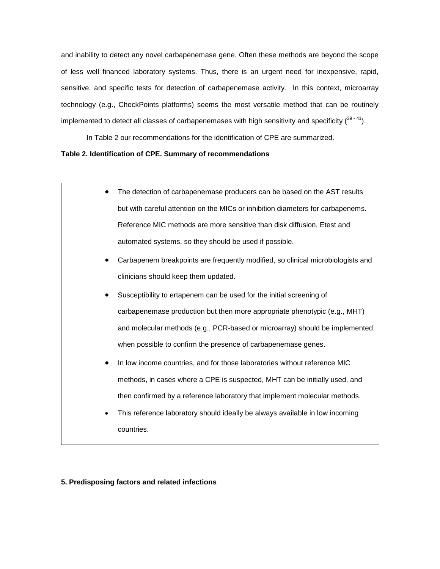and inability to detect any novel carbapenemase gene. Often these methods are beyond the scope of less well financed laboratory systems. Thus, there is an urgent need for inexpensive, rapid, sensitive, and specific tests for detection of carbapenemase activity. In this context, microarray technology (e.g., CheckPoints platforms) seems the most versatile method that can be routinely implemented to detect all classes of carbapenemases with high sensitivity and specificity  $(^{39}$ <sup>-41</sup>).

In Table 2 our recommendations for the identification of CPE are summarized.

# **Table 2. Identification of CPE. Summary of recommendations**

- The detection of carbapenemase producers can be based on the AST results but with careful attention on the MICs or inhibition diameters for carbapenems. Reference MIC methods are more sensitive than disk diffusion, Etest and automated systems, so they should be used if possible.
- Carbapenem breakpoints are frequently modified, so clinical microbiologists and clinicians should keep them updated.
- Susceptibility to ertapenem can be used for the initial screening of carbapenemase production but then more appropriate phenotypic (e.g., MHT) and molecular methods (e.g., PCR-based or microarray) should be implemented when possible to confirm the presence of carbapenemase genes.
- In low income countries, and for those laboratories without reference MIC methods, in cases where a CPE is suspected, MHT can be initially used, and then confirmed by a reference laboratory that implement molecular methods.
- This reference laboratory should ideally be always available in low incoming countries.

## **5. Predisposing factors and related infections**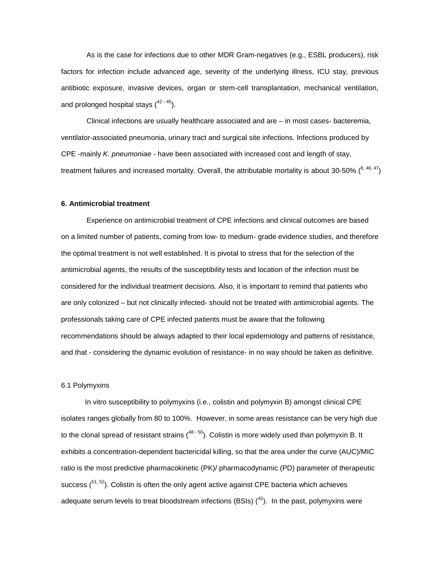As is the case for infections due to other MDR Gram-negatives (e.g., ESBL producers), risk factors for infection include advanced age, severity of the underlying illness, ICU stay, previous antibiotic exposure, invasive devices, organ or stem-cell transplantation, mechanical ventilation, and prolonged hospital stays  $(^{42-45})$ .

Clinical infections are usually healthcare associated and are – in most cases- bacteremia, ventilator-associated pneumonia, urinary tract and surgical site infections. Infections produced by CPE -mainly *K. pneumoniae* - have been associated with increased cost and length of stay, treatment failures and increased mortality. Overall, the attributable mortality is about 30-50%  $\binom{8,46,47}{1}$ 

#### **6. Antimicrobial treatment**

Experience on antimicrobial treatment of CPE infections and clinical outcomes are based on a limited number of patients, coming from low- to medium- grade evidence studies, and therefore the optimal treatment is not well established. It is pivotal to stress that for the selection of the antimicrobial agents, the results of the susceptibility tests and location of the infection must be considered for the individual treatment decisions. Also, it is important to remind that patients who are only colonized – but not clinically infected- should not be treated with antimicrobial agents. The professionals taking care of CPE infected patients must be aware that the following recommendations should be always adapted to their local epidemiology and patterns of resistance, and that - considering the dynamic evolution of resistance- in no way should be taken as definitive.

#### 6.1 Polymyxins

In vitro susceptibility to polymyxins (i.e., colistin and polymyxin B) amongst clinical CPE isolates ranges globally from 80 to 100%. However, in some areas resistance can be very high due to the clonal spread of resistant strains ( $48-50$ ). Colistin is more widely used than polymyxin B. It exhibits a concentration-dependent bactericidal killing, so that the area under the curve (AUC)/MIC ratio is the most predictive pharmacokinetic (PK)/ pharmacodynamic (PD) parameter of therapeutic success (<sup>51, 52</sup>). Colistin is often the only agent active against CPE bacteria which achieves adequate serum levels to treat bloodstream infections (BSIs)  $(^{42})$ . In the past, polymyxins were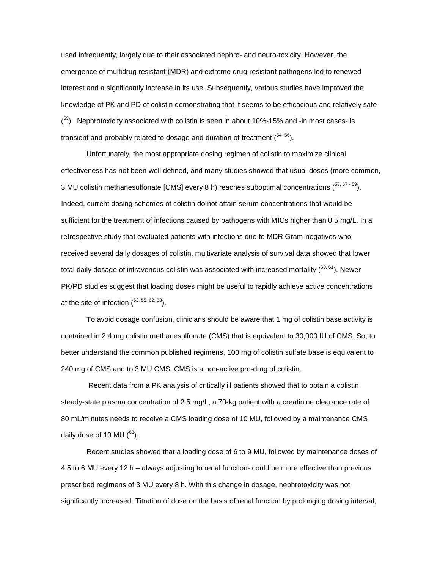used infrequently, largely due to their associated nephro- and neuro-toxicity. However, the emergence of multidrug resistant (MDR) and extreme drug-resistant pathogens led to renewed interest and a significantly increase in its use. Subsequently, various studies have improved the knowledge of PK and PD of colistin demonstrating that it seems to be efficacious and relatively safe <sup>(53</sup>). Nephrotoxicity associated with colistin is seen in about 10%-15% and -in most cases- is transient and probably related to dosage and duration of treatment  $(^{54-56})$ .

Unfortunately, the most appropriate dosing regimen of colistin to maximize clinical effectiveness has not been well defined, and many studies showed that usual doses (more common, 3 MU colistin methanesulfonate [CMS] every 8 h) reaches suboptimal concentrations  $(^{53, 57 \cdot 59})$ . Indeed, current dosing schemes of colistin do not attain serum concentrations that would be sufficient for the treatment of infections caused by pathogens with MICs higher than 0.5 mg/L. In a retrospective study that evaluated patients with infections due to MDR Gram-negatives who received several daily dosages of colistin, multivariate analysis of survival data showed that lower total daily dosage of intravenous colistin was associated with increased mortality  $(^{60, 61})$ . Newer PK/PD studies suggest that loading doses might be useful to rapidly achieve active concentrations at the site of infection  $(53, 55, 62, 63)$ .

To avoid dosage confusion, clinicians should be aware that 1 mg of colistin base activity is contained in 2.4 mg colistin methanesulfonate (CMS) that is equivalent to 30,000 IU of CMS. So, to better understand the common published regimens, 100 mg of colistin sulfate base is equivalent to 240 mg of CMS and to 3 MU CMS. CMS is a non-active pro-drug of colistin.

Recent data from a PK analysis of critically ill patients showed that to obtain a colistin steady-state plasma concentration of 2.5 mg/L, a 70-kg patient with a creatinine clearance rate of 80 mL/minutes needs to receive a CMS loading dose of 10 MU, followed by a maintenance CMS daily dose of 10 MU  $(^{63})$ .

Recent studies showed that a loading dose of 6 to 9 MU, followed by maintenance doses of 4.5 to 6 MU every 12 h – always adjusting to renal function- could be more effective than previous prescribed regimens of 3 MU every 8 h. With this change in dosage, nephrotoxicity was not significantly increased. Titration of dose on the basis of renal function by prolonging dosing interval,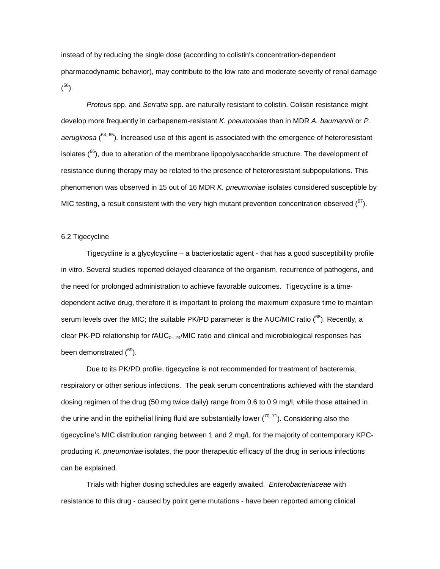instead of by reducing the single dose (according to colistin's concentration-dependent pharmacodynamic behavior), may contribute to the low rate and moderate severity of renal damage  $(56)$ .

*Proteus* spp. and *Serratia* spp. are naturally resistant to colistin. Colistin resistance might develop more frequently in carbapenem-resistant *K. pneumoniae* than in MDR *A. baumannii* or *P. aeruginosa* ( 64, 65)*.* Increased use of this agent is associated with the emergence of heteroresistant isolates  $(^{66})$ , due to alteration of the membrane lipopolysaccharide structure. The development of resistance during therapy may be related to the presence of heteroresistant subpopulations. This phenomenon was observed in 15 out of 16 MDR *K. pneumoniae* isolates considered susceptible by MIC testing, a result consistent with the very high mutant prevention concentration observed  $(^{67})$ .

#### 6.2 Tigecycline

Tigecycline is a glycylcycline – a bacteriostatic agent - that has a good susceptibility profile in vitro. Several studies reported delayed clearance of the organism, recurrence of pathogens, and the need for prolonged administration to achieve favorable outcomes. Tigecycline is a timedependent active drug, therefore it is important to prolong the maximum exposure time to maintain serum levels over the MIC; the suitable PK/PD parameter is the AUC/MIC ratio (<sup>68</sup>). Recently, a clear PK-PD relationship for *fAUC*<sub>0–24</sub>/MIC ratio and clinical and microbiological responses has been demonstrated (<sup>69</sup>).

Due to its PK/PD profile, tigecycline is not recommended for treatment of bacteremia, respiratory or other serious infections. The peak serum concentrations achieved with the standard dosing regimen of the drug (50 mg twice daily) range from 0.6 to 0.9 mg/l, while those attained in the urine and in the epithelial lining fluid are substantially lower ( $^{70, 71}$ ). Considering also the tigecycline's MIC distribution ranging between 1 and 2 mg/L for the majority of contemporary KPCproducing *K. pneumoniae* isolates, the poor therapeutic efficacy of the drug in serious infections can be explained.

Trials with higher dosing schedules are eagerly awaited. *Enterobacteriaceae* with resistance to this drug - caused by point gene mutations - have been reported among clinical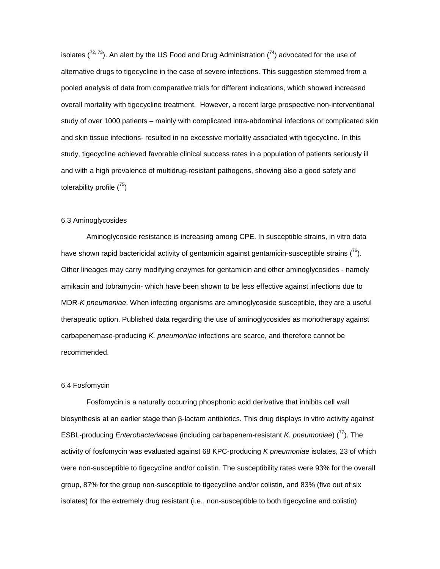isolates  $(7^{2, 73})$ . An alert by the US Food and Drug Administration  $(7^{4})$  advocated for the use of alternative drugs to tigecycline in the case of severe infections. This suggestion stemmed from a pooled analysis of data from comparative trials for different indications, which showed increased overall mortality with tigecycline treatment. However, a recent large prospective non-interventional study of over 1000 patients – mainly with complicated intra-abdominal infections or complicated skin and skin tissue infections- resulted in no excessive mortality associated with tigecycline. In this study, tigecycline achieved favorable clinical success rates in a population of patients seriously ill and with a high prevalence of multidrug-resistant pathogens, showing also a good safety and tolerability profile  $(^{75})$ 

#### 6.3 Aminoglycosides

Aminoglycoside resistance is increasing among CPE. In susceptible strains, in vitro data have shown rapid bactericidal activity of gentamicin against gentamicin-susceptible strains  $\binom{76}{ }$ . Other lineages may carry modifying enzymes for gentamicin and other aminoglycosides - namely amikacin and tobramycin- which have been shown to be less effective against infections due to MDR-*K pneumoniae*. When infecting organisms are aminoglycoside susceptible, they are a useful therapeutic option. Published data regarding the use of aminoglycosides as monotherapy against carbapenemase-producing *K. pneumoniae* infections are scarce, and therefore cannot be recommended.

#### 6.4 Fosfomycin

Fosfomycin is a naturally occurring phosphonic acid derivative that inhibits cell wall biosynthesis at an earlier stage than β-lactam antibiotics. This drug displays in vitro activity against ESBL-producing *Enterobacteriaceae* (including carbapenem-resistant *K. pneumoniae*) (77). The activity of fosfomycin was evaluated against 68 KPC-producing *K pneumoniae* isolates, 23 of which were non-susceptible to tigecycline and/or colistin. The susceptibility rates were 93% for the overall group, 87% for the group non-susceptible to tigecycline and/or colistin, and 83% (five out of six isolates) for the extremely drug resistant (i.e., non-susceptible to both tigecycline and colistin)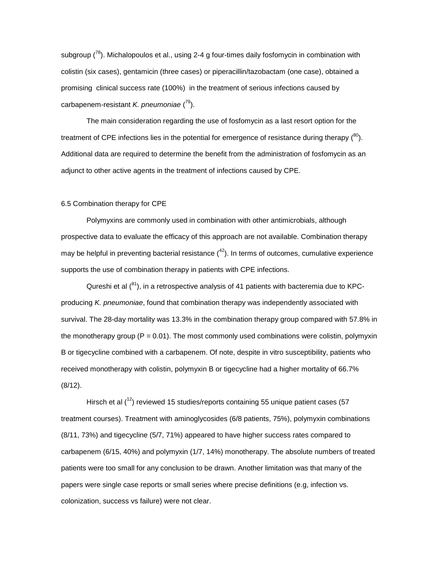subgroup  $(7^8)$ . Michalopoulos et al., using 2-4 g four-times daily fosfomycin in combination with colistin (six cases), gentamicin (three cases) or piperacillin/tazobactam (one case), obtained a promising clinical success rate (100%) in the treatment of serious infections caused by carbapenem-resistant *K. pneumoniae* ( 79).

The main consideration regarding the use of fosfomycin as a last resort option for the treatment of CPE infections lies in the potential for emergence of resistance during therapy  $(^{80})$ . Additional data are required to determine the benefit from the administration of fosfomycin as an adjunct to other active agents in the treatment of infections caused by CPE.

#### 6.5 Combination therapy for CPE

Polymyxins are commonly used in combination with other antimicrobials, although prospective data to evaluate the efficacy of this approach are not available. Combination therapy may be helpful in preventing bacterial resistance (<sup>42</sup>). In terms of outcomes, cumulative experience supports the use of combination therapy in patients with CPE infections.

Qureshi et al  $(^{81})$ , in a retrospective analysis of 41 patients with bacteremia due to KPCproducing *K. pneumoniae*, found that combination therapy was independently associated with survival. The 28-day mortality was 13.3% in the combination therapy group compared with 57.8% in the monotherapy group  $(P = 0.01)$ . The most commonly used combinations were colistin, polymyxin B or tigecycline combined with a carbapenem. Of note, despite in vitro susceptibility, patients who received monotherapy with colistin, polymyxin B or tigecycline had a higher mortality of 66.7% (8/12).

Hirsch et al  $(^{12})$  reviewed 15 studies/reports containing 55 unique patient cases (57 treatment courses). Treatment with aminoglycosides (6/8 patients, 75%), polymyxin combinations (8/11, 73%) and tigecycline (5/7, 71%) appeared to have higher success rates compared to carbapenem (6/15, 40%) and polymyxin (1/7, 14%) monotherapy. The absolute numbers of treated patients were too small for any conclusion to be drawn. Another limitation was that many of the papers were single case reports or small series where precise definitions (e.g, infection vs. colonization, success vs failure) were not clear.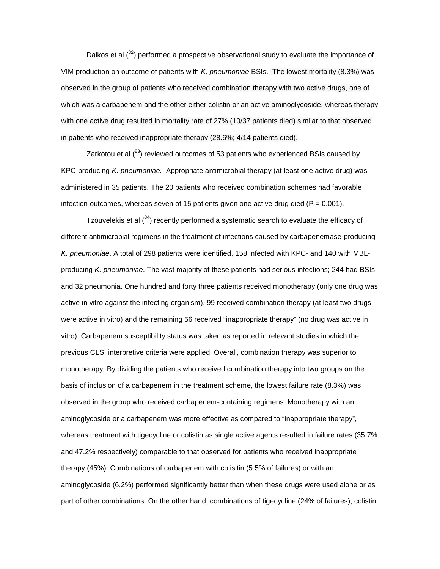Daikos et al  $\binom{82}{ }$  performed a prospective observational study to evaluate the importance of VIM production on outcome of patients with *K. pneumoniae* BSIs. The lowest mortality (8.3%) was observed in the group of patients who received combination therapy with two active drugs, one of which was a carbapenem and the other either colistin or an active aminoglycoside, whereas therapy with one active drug resulted in mortality rate of 27% (10/37 patients died) similar to that observed in patients who received inappropriate therapy (28.6%; 4/14 patients died).

Zarkotou et al  $(^{83})$  reviewed outcomes of 53 patients who experienced BSIs caused by KPC-producing *K. pneumoniae.* Appropriate antimicrobial therapy (at least one active drug) was administered in 35 patients. The 20 patients who received combination schemes had favorable infection outcomes, whereas seven of 15 patients given one active drug died ( $P = 0.001$ ).

Tzouvelekis et al  $(^{84})$  recently performed a systematic search to evaluate the efficacy of different antimicrobial regimens in the treatment of infections caused by carbapenemase-producing *K. pneumoniae*. A total of 298 patients were identified, 158 infected with KPC- and 140 with MBLproducing *K. pneumoniae*. The vast majority of these patients had serious infections; 244 had BSIs and 32 pneumonia. One hundred and forty three patients received monotherapy (only one drug was active in vitro against the infecting organism), 99 received combination therapy (at least two drugs were active in vitro) and the remaining 56 received "inappropriate therapy" (no drug was active in vitro). Carbapenem susceptibility status was taken as reported in relevant studies in which the previous CLSI interpretive criteria were applied. Overall, combination therapy was superior to monotherapy. By dividing the patients who received combination therapy into two groups on the basis of inclusion of a carbapenem in the treatment scheme, the lowest failure rate (8.3%) was observed in the group who received carbapenem-containing regimens. Monotherapy with an aminoglycoside or a carbapenem was more effective as compared to "inappropriate therapy", whereas treatment with tigecycline or colistin as single active agents resulted in failure rates (35.7% and 47.2% respectively) comparable to that observed for patients who received inappropriate therapy (45%). Combinations of carbapenem with colisitin (5.5% of failures) or with an aminoglycoside (6.2%) performed significantly better than when these drugs were used alone or as part of other combinations. On the other hand, combinations of tigecycline (24% of failures), colistin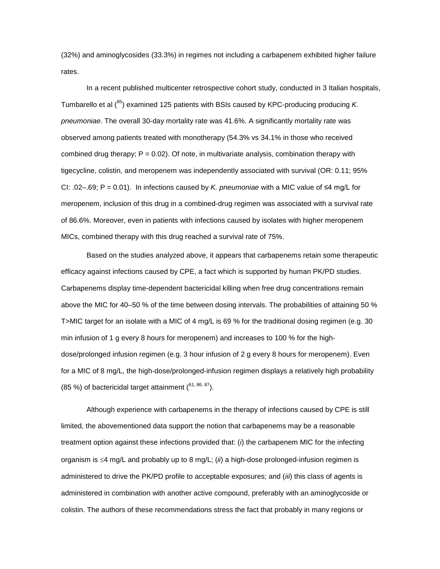(32%) and aminoglycosides (33.3%) in regimes not including a carbapenem exhibited higher failure rates.

In a recent published multicenter retrospective cohort study, conducted in 3 Italian hospitals, Tumbarello et al (<sup>85</sup>) examined 125 patients with BSIs caused by KPC-producing producing *K*. *pneumoniae*. The overall 30-day mortality rate was 41.6%. A significantly mortality rate was observed among patients treated with monotherapy (54.3% vs 34.1% in those who received combined drug therapy;  $P = 0.02$ ). Of note, in multivariate analysis, combination therapy with tigecycline, colistin, and meropenem was independently associated with survival (OR: 0.11; 95% CI: .02–.69; P = 0.01). In infections caused by *K. pneumoniae* with a MIC value of ≤4 mg/L for meropenem, inclusion of this drug in a combined-drug regimen was associated with a survival rate of 86.6%. Moreover, even in patients with infections caused by isolates with higher meropenem MICs, combined therapy with this drug reached a survival rate of 75%.

Based on the studies analyzed above, it appears that carbapenems retain some therapeutic efficacy against infections caused by CPE, a fact which is supported by human PK/PD studies. Carbapenems display time-dependent bactericidal killing when free drug concentrations remain above the MIC for 40–50 % of the time between dosing intervals. The probabilities of attaining 50 % T>MIC target for an isolate with a MIC of 4 mg/L is 69 % for the traditional dosing regimen (e.g. 30 min infusion of 1 g every 8 hours for meropenem) and increases to 100 % for the highdose/prolonged infusion regimen (e.g. 3 hour infusion of 2 g every 8 hours for meropenem). Even for a MIC of 8 mg/L, the high-dose/prolonged-infusion regimen displays a relatively high probability (85 %) of bactericidal target attainment  $(61, 86, 87)$ .

Although experience with carbapenems in the therapy of infections caused by CPE is still limited, the abovementioned data support the notion that carbapenems may be a reasonable treatment option against these infections provided that: (*i*) the carbapenem MIC for the infecting organism is ≤4 mg/L and probably up to 8 mg/L; (*ii*) a high-dose prolonged-infusion regimen is administered to drive the PK/PD profile to acceptable exposures; and (*iii*) this class of agents is administered in combination with another active compound, preferably with an aminoglycoside or colistin. The authors of these recommendations stress the fact that probably in many regions or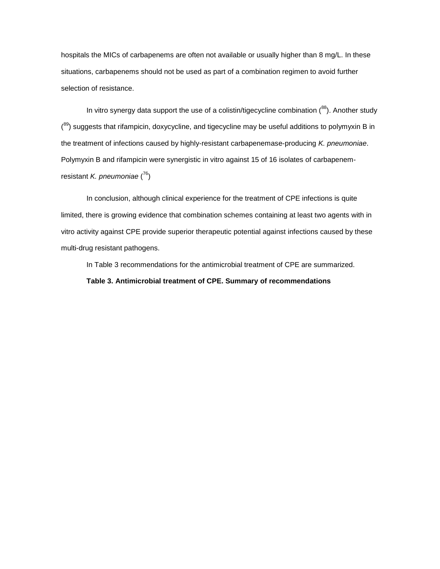hospitals the MICs of carbapenems are often not available or usually higher than 8 mg/L. In these situations, carbapenems should not be used as part of a combination regimen to avoid further selection of resistance.

In vitro synergy data support the use of a colistin/tigecycline combination  $(^{88})$ . Another study (<sup>89</sup>) suggests that rifampicin, doxycycline, and tigecycline may be useful additions to polymyxin B in the treatment of infections caused by highly-resistant carbapenemase-producing *K. pneumoniae*. Polymyxin B and rifampicin were synergistic in vitro against 15 of 16 isolates of carbapenemresistant *K. pneumoniae* ( 76)

In conclusion, although clinical experience for the treatment of CPE infections is quite limited, there is growing evidence that combination schemes containing at least two agents with in vitro activity against CPE provide superior therapeutic potential against infections caused by these multi-drug resistant pathogens.

In Table 3 recommendations for the antimicrobial treatment of CPE are summarized.

**Table 3. Antimicrobial treatment of CPE. Summary of recommendations**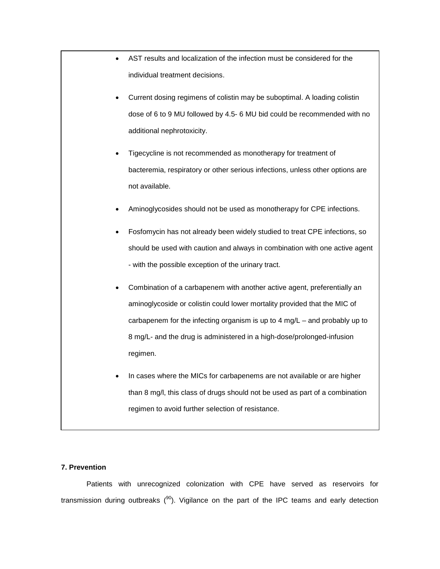|           | AST results and localization of the infection must be considered for the      |
|-----------|-------------------------------------------------------------------------------|
|           | individual treatment decisions.                                               |
|           | Current dosing regimens of colistin may be suboptimal. A loading colistin     |
|           | dose of 6 to 9 MU followed by 4.5- 6 MU bid could be recommended with no      |
|           | additional nephrotoxicity.                                                    |
|           | Tigecycline is not recommended as monotherapy for treatment of                |
|           | bacteremia, respiratory or other serious infections, unless other options are |
|           | not available.                                                                |
|           | Aminoglycosides should not be used as monotherapy for CPE infections.         |
|           | Fosfomycin has not already been widely studied to treat CPE infections, so    |
|           | should be used with caution and always in combination with one active agent   |
|           | - with the possible exception of the urinary tract.                           |
| $\bullet$ | Combination of a carbapenem with another active agent, preferentially an      |
|           | aminoglycoside or colistin could lower mortality provided that the MIC of     |
|           | carbapenem for the infecting organism is up to 4 mg/L - and probably up to    |
|           | 8 mg/L- and the drug is administered in a high-dose/prolonged-infusion        |
|           | regimen.                                                                      |
|           | In cases where the MICs for carbapenems are not available or are higher       |
|           | than 8 mg/l, this class of drugs should not be used as part of a combination  |
|           | regimen to avoid further selection of resistance.                             |

# **7. Prevention**

Patients with unrecognized colonization with CPE have served as reservoirs for transmission during outbreaks  $(90)$ . Vigilance on the part of the IPC teams and early detection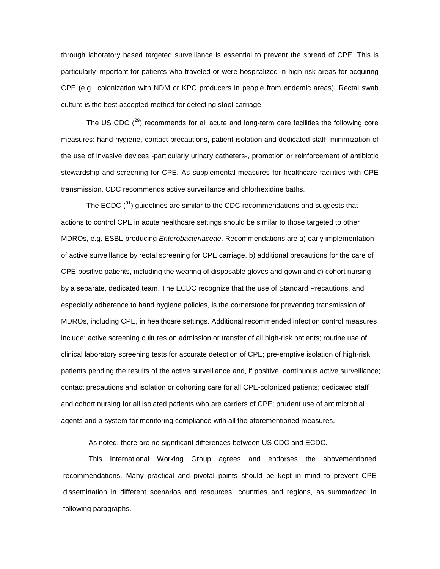through laboratory based targeted surveillance is essential to prevent the spread of CPE. This is particularly important for patients who traveled or were hospitalized in high-risk areas for acquiring CPE (e.g., colonization with NDM or KPC producers in people from endemic areas). Rectal swab culture is the best accepted method for detecting stool carriage.

The US CDC  $(^{29})$  recommends for all acute and long-term care facilities the following core measures: hand hygiene, contact precautions, patient isolation and dedicated staff, minimization of the use of invasive devices -particularly urinary catheters-, promotion or reinforcement of antibiotic stewardship and screening for CPE. As supplemental measures for healthcare facilities with CPE transmission, CDC recommends active surveillance and chlorhexidine baths.

The ECDC  $(^{91})$  guidelines are similar to the CDC recommendations and suggests that actions to control CPE in acute healthcare settings should be similar to those targeted to other MDROs, e.g. ESBL-producing *Enterobacteriaceae*. Recommendations are a) early implementation of active surveillance by rectal screening for CPE carriage, b) additional precautions for the care of CPE-positive patients, including the wearing of disposable gloves and gown and c) cohort nursing by a separate, dedicated team. The ECDC recognize that the use of Standard Precautions, and especially adherence to hand hygiene policies, is the cornerstone for preventing transmission of MDROs, including CPE, in healthcare settings. Additional recommended infection control measures include: active screening cultures on admission or transfer of all high-risk patients; routine use of clinical laboratory screening tests for accurate detection of CPE; pre-emptive isolation of high-risk patients pending the results of the active surveillance and, if positive, continuous active surveillance; contact precautions and isolation or cohorting care for all CPE-colonized patients; dedicated staff and cohort nursing for all isolated patients who are carriers of CPE; prudent use of antimicrobial agents and a system for monitoring compliance with all the aforementioned measures.

As noted, there are no significant differences between US CDC and ECDC.

This International Working Group agrees and endorses the abovementioned recommendations. Many practical and pivotal points should be kept in mind to prevent CPE dissemination in different scenarios and resources´ countries and regions, as summarized in following paragraphs.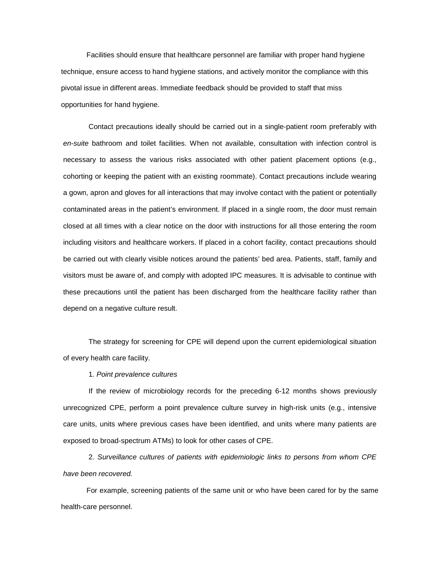Facilities should ensure that healthcare personnel are familiar with proper hand hygiene technique, ensure access to hand hygiene stations, and actively monitor the compliance with this pivotal issue in different areas. Immediate feedback should be provided to staff that miss opportunities for hand hygiene.

Contact precautions ideally should be carried out in a single-patient room preferably with *en-suite* bathroom and toilet facilities. When not available, consultation with infection control is necessary to assess the various risks associated with other patient placement options (e.g., cohorting or keeping the patient with an existing roommate). Contact precautions include wearing a gown, apron and gloves for all interactions that may involve contact with the patient or potentially contaminated areas in the patient's environment. If placed in a single room, the door must remain closed at all times with a clear notice on the door with instructions for all those entering the room including visitors and healthcare workers. If placed in a cohort facility, contact precautions should be carried out with clearly visible notices around the patients' bed area. Patients, staff, family and visitors must be aware of, and comply with adopted IPC measures. It is advisable to continue with these precautions until the patient has been discharged from the healthcare facility rather than depend on a negative culture result.

The strategy for screening for CPE will depend upon the current epidemiological situation of every health care facility.

#### 1*. Point prevalence cultures*

If the review of microbiology records for the preceding 6-12 months shows previously unrecognized CPE, perform a point prevalence culture survey in high-risk units (e.g., intensive care units, units where previous cases have been identified, and units where many patients are exposed to broad-spectrum ATMs) to look for other cases of CPE.

2. *Surveillance cultures of patients with epidemiologic links to persons from whom CPE have been recovered.*

For example, screening patients of the same unit or who have been cared for by the same health-care personnel.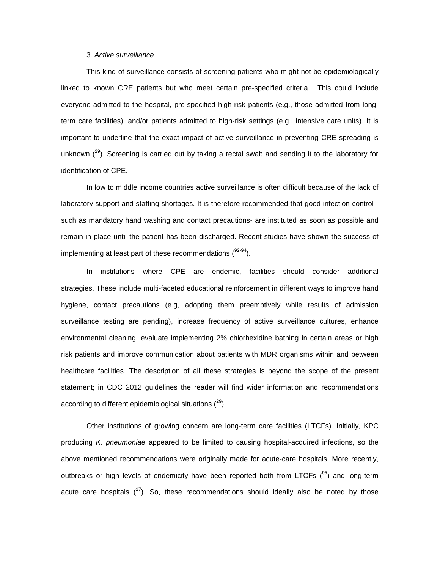#### 3. *Active surveillance*.

This kind of surveillance consists of screening patients who might not be epidemiologically linked to known CRE patients but who meet certain pre-specified criteria. This could include everyone admitted to the hospital, pre-specified high-risk patients (e.g., those admitted from longterm care facilities), and/or patients admitted to high-risk settings (e.g., intensive care units). It is important to underline that the exact impact of active surveillance in preventing CRE spreading is unknown  $(^{29})$ . Screening is carried out by taking a rectal swab and sending it to the laboratory for identification of CPE.

In low to middle income countries active surveillance is often difficult because of the lack of laboratory support and staffing shortages. It is therefore recommended that good infection control such as mandatory hand washing and contact precautions- are instituted as soon as possible and remain in place until the patient has been discharged. Recent studies have shown the success of implementing at least part of these recommendations  $(^{92-94})$ .

In institutions where CPE are endemic, facilities should consider additional strategies. These include multi-faceted educational reinforcement in different ways to improve hand hygiene, contact precautions (e.g, adopting them preemptively while results of admission surveillance testing are pending), increase frequency of active surveillance cultures, enhance environmental cleaning, evaluate implementing 2% chlorhexidine bathing in certain areas or high risk patients and improve communication about patients with MDR organisms within and between healthcare facilities. The description of all these strategies is beyond the scope of the present statement; in CDC 2012 guidelines the reader will find wider information and recommendations according to different epidemiological situations  $(^{29})$ .

Other institutions of growing concern are long-term care facilities (LTCFs). Initially, KPC producing *K. pneumoniae* appeared to be limited to causing hospital-acquired infections, so the above mentioned recommendations were originally made for acute-care hospitals. More recently, outbreaks or high levels of endemicity have been reported both from LTCFs  $(^{95})$  and long-term acute care hospitals  $(17)$ . So, these recommendations should ideally also be noted by those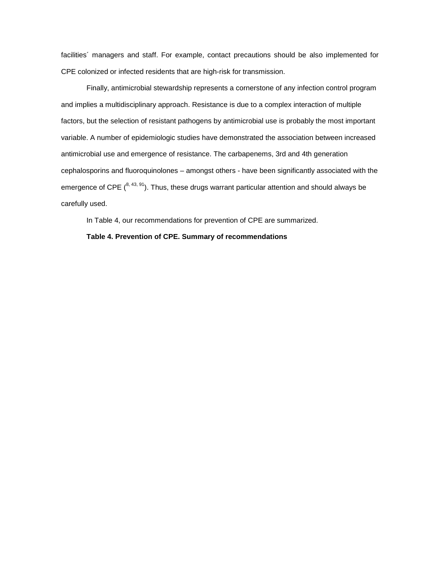facilities´ managers and staff. For example, contact precautions should be also implemented for CPE colonized or infected residents that are high-risk for transmission.

Finally, antimicrobial stewardship represents a cornerstone of any infection control program and implies a multidisciplinary approach. Resistance is due to a complex interaction of multiple factors, but the selection of resistant pathogens by antimicrobial use is probably the most important variable. A number of epidemiologic studies have demonstrated the association between increased antimicrobial use and emergence of resistance. The carbapenems, 3rd and 4th generation cephalosporins and fluoroquinolones – amongst others - have been significantly associated with the emergence of CPE  $\binom{8,43,91}{n}$ . Thus, these drugs warrant particular attention and should always be carefully used.

In Table 4, our recommendations for prevention of CPE are summarized.

### **Table 4. Prevention of CPE. Summary of recommendations**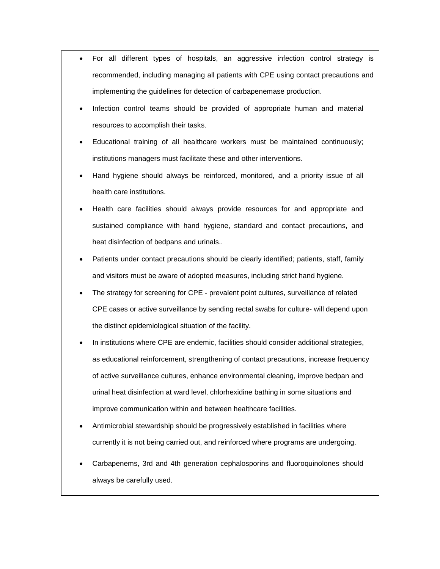- For all different types of hospitals, an aggressive infection control strategy is recommended, including managing all patients with CPE using contact precautions and implementing the guidelines for detection of carbapenemase production.
- Infection control teams should be provided of appropriate human and material resources to accomplish their tasks.
- Educational training of all healthcare workers must be maintained continuously; institutions managers must facilitate these and other interventions.
- Hand hygiene should always be reinforced, monitored, and a priority issue of all health care institutions.
- Health care facilities should always provide resources for and appropriate and sustained compliance with hand hygiene, standard and contact precautions, and heat disinfection of bedpans and urinals..
- Patients under contact precautions should be clearly identified; patients, staff, family and visitors must be aware of adopted measures, including strict hand hygiene.
- The strategy for screening for CPE prevalent point cultures, surveillance of related CPE cases or active surveillance by sending rectal swabs for culture- will depend upon the distinct epidemiological situation of the facility.
- In institutions where CPE are endemic, facilities should consider additional strategies, as educational reinforcement, strengthening of contact precautions, increase frequency of active surveillance cultures, enhance environmental cleaning, improve bedpan and urinal heat disinfection at ward level, chlorhexidine bathing in some situations and improve communication within and between healthcare facilities.
- Antimicrobial stewardship should be progressively established in facilities where currently it is not being carried out, and reinforced where programs are undergoing.
- Carbapenems, 3rd and 4th generation cephalosporins and fluoroquinolones should always be carefully used.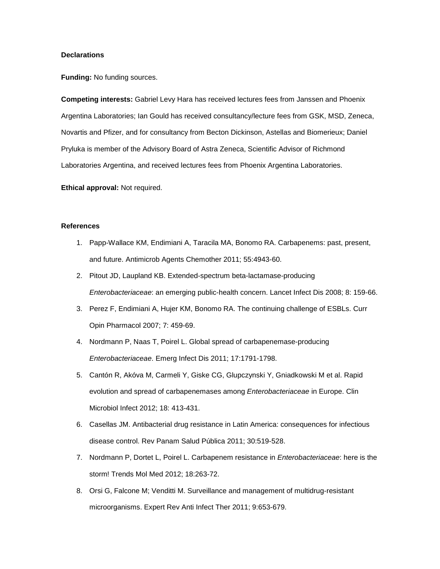#### **Declarations**

**Funding:** No funding sources.

**Competing interests:** Gabriel Levy Hara has received lectures fees from Janssen and Phoenix Argentina Laboratories; Ian Gould has received consultancy/lecture fees from GSK, MSD, Zeneca, Novartis and Pfizer, and for consultancy from Becton Dickinson, Astellas and Biomerieux; Daniel Pryluka is member of the Advisory Board of Astra Zeneca, Scientific Advisor of Richmond Laboratories Argentina, and received lectures fees from Phoenix Argentina Laboratories.

**Ethical approval:** Not required.

#### **References**

- 1. Papp-Wallace KM, Endimiani A, Taracila MA, Bonomo RA. Carbapenems: past, present, and future. Antimicrob Agents Chemother 2011; 55:4943-60.
- 2. Pitout JD, Laupland KB. Extended-spectrum beta-lactamase-producing *Enterobacteriaceae*: an emerging public-health concern. Lancet Infect Dis 2008; 8: 159-66.
- 3. Perez F, Endimiani A, Hujer KM, Bonomo RA. The continuing challenge of ESBLs. Curr Opin Pharmacol 2007; 7: 459-69.
- 4. Nordmann P, Naas T, Poirel L. Global spread of carbapenemase-producing *Enterobacteriaceae*. Emerg Infect Dis 2011; 17:1791-1798.
- 5. Cantón R, Akóva M, Carmeli Y, Giske CG, Glupczynski Y, Gniadkowski M et al. Rapid evolution and spread of carbapenemases among *Enterobacteriaceae* in Europe. Clin Microbiol Infect 2012; 18: 413-431.
- 6. Casellas JM. Antibacterial drug resistance in Latin America: consequences for infectious disease control. Rev Panam Salud Pública 2011; 30:519-528.
- 7. Nordmann P, Dortet L, Poirel L. Carbapenem resistance in *Enterobacteriaceae*: here is the storm! Trends Mol Med 2012; 18:263-72.
- 8. Orsi G, Falcone M; Venditti M. Surveillance and management of multidrug-resistant microorganisms. Expert Rev Anti Infect Ther 2011; 9:653-679.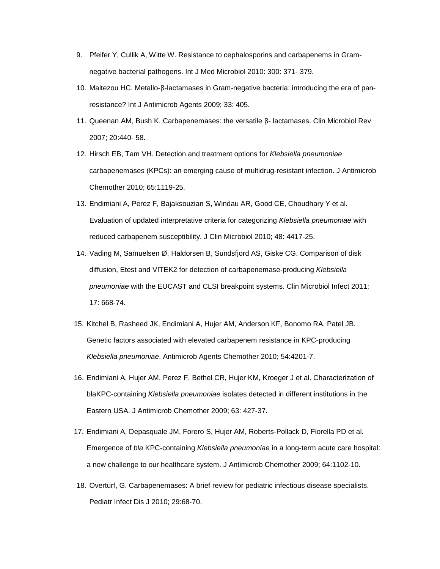- 9. Pfeifer Y, Cullik A, Witte W. Resistance to cephalosporins and carbapenems in Gramnegative bacterial pathogens. Int J Med Microbiol 2010: 300: 371- 379.
- 10. Maltezou HC. Metallo-β-lactamases in Gram-negative bacteria: introducing the era of panresistance? Int J Antimicrob Agents 2009; 33: 405.
- 11. Queenan AM, Bush K. Carbapenemases: the versatile β- lactamases. Clin Microbiol Rev 2007; 20:440- 58.
- 12. Hirsch EB, Tam VH. Detection and treatment options for *Klebsiella pneumoniae* carbapenemases (KPCs): an emerging cause of multidrug-resistant infection. J Antimicrob Chemother 2010; 65:1119-25.
- 13. Endimiani A, Perez F, Bajaksouzian S, Windau AR, Good CE, Choudhary Y et al. Evaluation of updated interpretative criteria for categorizing *Klebsiella pneumoniae* with reduced carbapenem susceptibility. J Clin Microbiol 2010; 48: 4417-25.
- 14. Vading M, Samuelsen Ø, Haldorsen B, Sundsfjord AS, Giske CG. Comparison of disk diffusion, Etest and VITEK2 for detection of carbapenemase-producing *Klebsiella pneumoniae* with the EUCAST and CLSI breakpoint systems. Clin Microbiol Infect 2011; 17: 668-74.
- 15. Kitchel B, Rasheed JK, Endimiani A, Hujer AM, Anderson KF, Bonomo RA, Patel JB. Genetic factors associated with elevated carbapenem resistance in KPC-producing *Klebsiella pneumoniae*. Antimicrob Agents Chemother 2010; 54:4201-7.
- 16. Endimiani A, Hujer AM, Perez F, Bethel CR, Hujer KM, Kroeger J et al. Characterization of blaKPC-containing *Klebsiella pneumoniae* isolates detected in different institutions in the Eastern USA. J Antimicrob Chemother 2009; 63: 427-37.
- 17. Endimiani A, Depasquale JM, Forero S, Hujer AM, Roberts-Pollack D, Fiorella PD et al. Emergence of *bla* KPC-containing *Klebsiella pneumoniae* in a long-term acute care hospital: a new challenge to our healthcare system. J Antimicrob Chemother 2009; 64:1102-10.
- 18. Overturf, G. Carbapenemases: A brief review for pediatric infectious disease specialists. Pediatr Infect Dis J 2010; 29:68-70.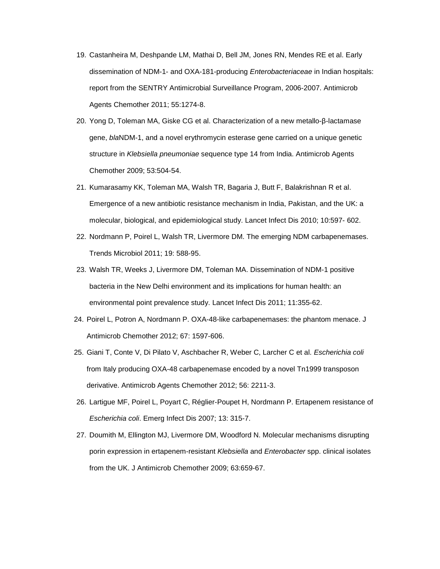- 19. Castanheira M, Deshpande LM, Mathai D, Bell JM, Jones RN, Mendes RE et al. Early dissemination of NDM-1- and OXA-181-producing *Enterobacteriaceae* in Indian hospitals: report from the SENTRY Antimicrobial Surveillance Program, 2006-2007. Antimicrob Agents Chemother 2011; 55:1274-8.
- 20. Yong D, Toleman MA, Giske CG et al. Characterization of a new metallo-β-lactamase gene, *bla*NDM-1, and a novel erythromycin esterase gene carried on a unique genetic structure in *Klebsiella pneumoniae* sequence type 14 from India. Antimicrob Agents Chemother 2009; 53:504-54.
- 21. Kumarasamy KK, Toleman MA, Walsh TR, Bagaria J, Butt F, Balakrishnan R et al. Emergence of a new antibiotic resistance mechanism in India, Pakistan, and the UK: a molecular, biological, and epidemiological study. Lancet Infect Dis 2010; 10:597- 602.
- 22. Nordmann P, Poirel L, Walsh TR, Livermore DM. The emerging NDM carbapenemases. Trends Microbiol 2011; 19: 588-95.
- 23. Walsh TR, Weeks J, Livermore DM, Toleman MA. Dissemination of NDM-1 positive bacteria in the New Delhi environment and its implications for human health: an environmental point prevalence study. Lancet Infect Dis 2011; 11:355-62.
- 24. Poirel L, Potron A, Nordmann P. OXA-48-like carbapenemases: the phantom menace. J Antimicrob Chemother 2012; 67: 1597-606.
- 25. Giani T, Conte V, Di Pilato V, Aschbacher R, Weber C, Larcher C et al. *Escherichia coli* from Italy producing OXA-48 carbapenemase encoded by a novel Tn1999 transposon derivative. Antimicrob Agents Chemother 2012; 56: 2211-3.
- 26. Lartigue MF, Poirel L, Poyart C, Réglier-Poupet H, Nordmann P. Ertapenem resistance of *Escherichia coli*. Emerg Infect Dis 2007; 13: 315-7.
- 27. Doumith M, Ellington MJ, Livermore DM, Woodford N. Molecular mechanisms disrupting porin expression in ertapenem-resistant *Klebsiella* and *Enterobacter* spp. clinical isolates from the UK. J Antimicrob Chemother 2009; 63:659-67.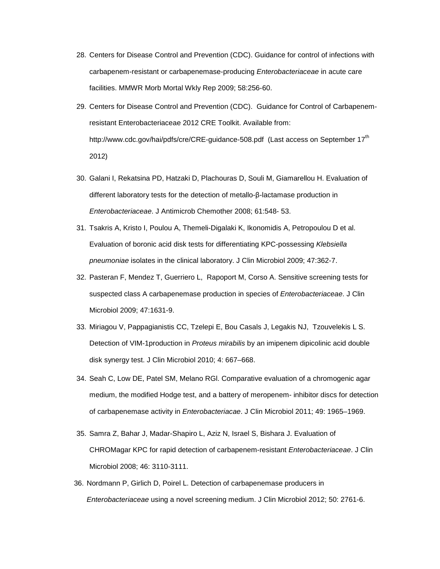- 28. Centers for Disease Control and Prevention (CDC). Guidance for control of infections with carbapenem-resistant or carbapenemase-producing *Enterobacteriaceae* in acute care facilities. MMWR Morb Mortal Wkly Rep 2009; 58:256-60.
- 29. Centers for Disease Control and Prevention (CDC). Guidance for Control of Carbapenemresistant Enterobacteriaceae 2012 CRE Toolkit. Available from: http://www.cdc.gov/hai/pdfs/cre/CRE-guidance-508.pdf (Last access on September 17<sup>th</sup> 2012)
- 30. Galani I, Rekatsina PD, Hatzaki D, Plachouras D, Souli M, Giamarellou H. Evaluation of different laboratory tests for the detection of metallo-β-lactamase production in *Enterobacteriaceae*. J Antimicrob Chemother 2008; 61:548- 53.
- 31. Tsakris A, Kristo I, Poulou A, Themeli-Digalaki K, Ikonomidis A, Petropoulou D et al. Evaluation of boronic acid disk tests for differentiating KPC-possessing *Klebsiella pneumoniae* isolates in the clinical laboratory. J Clin Microbiol 2009; 47:362-7.
- 32. Pasteran F, Mendez T, Guerriero L, Rapoport M, Corso A. Sensitive screening tests for suspected class A carbapenemase production in species of *Enterobacteriaceae*. J Clin Microbiol 2009; 47:1631-9.
- 33. Miriagou V, Pappagianistis CC, Tzelepi E, Bou Casals J, Legakis NJ, Tzouvelekis L S. Detection of VIM-1production in *Proteus mirabilis* by an imipenem dipicolinic acid double disk synergy test. J Clin Microbiol 2010; 4: 667–668.
- 34. Seah C, Low DE, Patel SM, Melano RGl. Comparative evaluation of a chromogenic agar medium, the modified Hodge test, and a battery of meropenem- inhibitor discs for detection of carbapenemase activity in *Enterobacteriacae*. J Clin Microbiol 2011; 49: 1965–1969.
- 35. Samra Z, Bahar J, Madar-Shapiro L, Aziz N, Israel S, Bishara J. Evaluation of CHROMagar KPC for rapid detection of carbapenem-resistant *Enterobacteriaceae*. J Clin Microbiol 2008; 46: 3110-3111.
- 36. Nordmann P, Girlich D, Poirel L. Detection of carbapenemase producers in *Enterobacteriaceae* using a novel screening medium. J Clin Microbiol 2012; 50: 2761-6.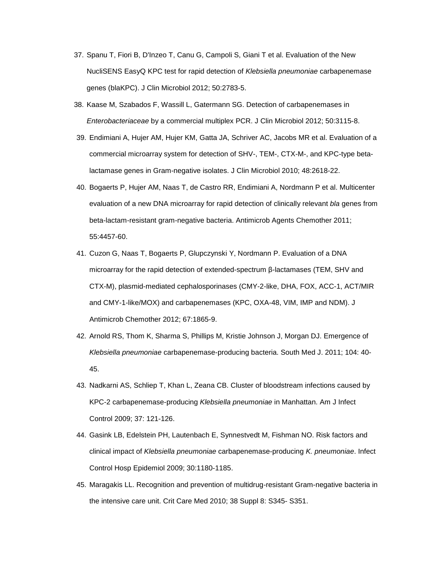- 37. Spanu T, Fiori B, D'Inzeo T, Canu G, Campoli S, Giani T et al. Evaluation of the New NucliSENS EasyQ KPC test for rapid detection of *Klebsiella pneumoniae* carbapenemase genes (blaKPC). J Clin Microbiol 2012; 50:2783-5.
- 38. Kaase M, Szabados F, Wassill L, Gatermann SG. Detection of carbapenemases in *Enterobacteriaceae* by a commercial multiplex PCR. J Clin Microbiol 2012; 50:3115-8.
- 39. Endimiani A, Hujer AM, Hujer KM, Gatta JA, Schriver AC, Jacobs MR et al. Evaluation of a commercial microarray system for detection of SHV-, TEM-, CTX-M-, and KPC-type betalactamase genes in Gram-negative isolates. J Clin Microbiol 2010; 48:2618-22.
- 40. Bogaerts P, Hujer AM, Naas T, de Castro RR, Endimiani A, Nordmann P et al. Multicenter evaluation of a new DNA microarray for rapid detection of clinically relevant *bla* genes from beta-lactam-resistant gram-negative bacteria. Antimicrob Agents Chemother 2011; 55:4457-60.
- 41. Cuzon G, Naas T, Bogaerts P, Glupczynski Y, Nordmann P. Evaluation of a DNA microarray for the rapid detection of extended-spectrum β-lactamases (TEM, SHV and CTX-M), plasmid-mediated cephalosporinases (CMY-2-like, DHA, FOX, ACC-1, ACT/MIR and CMY-1-like/MOX) and carbapenemases (KPC, OXA-48, VIM, IMP and NDM). J Antimicrob Chemother 2012; 67:1865-9.
- 42. Arnold RS, Thom K, Sharma S, Phillips M, Kristie Johnson J, Morgan DJ. Emergence of *Klebsiella pneumoniae* carbapenemase-producing bacteria. South Med J. 2011; 104: 40- 45.
- 43. Nadkarni AS, Schliep T, Khan L, Zeana CB. Cluster of bloodstream infections caused by KPC-2 carbapenemase-producing *Klebsiella pneumoniae* in Manhattan. Am J Infect Control 2009; 37: 121-126.
- 44. Gasink LB, Edelstein PH, Lautenbach E, Synnestvedt M, Fishman NO. Risk factors and clinical impact of *Klebsiella pneumoniae* carbapenemase-producing *K. pneumoniae*. Infect Control Hosp Epidemiol 2009; 30:1180-1185.
- 45. Maragakis LL. Recognition and prevention of multidrug-resistant Gram-negative bacteria in the intensive care unit. Crit Care Med 2010; 38 Suppl 8: S345- S351.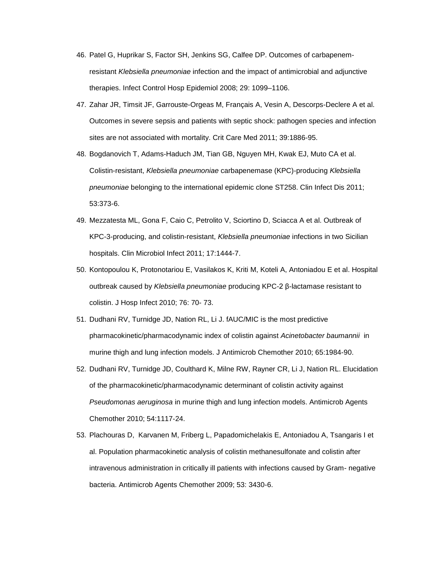- 46. Patel G, Huprikar S, Factor SH, Jenkins SG, Calfee DP. Outcomes of carbapenemresistant *Klebsiella pneumoniae* infection and the impact of antimicrobial and adjunctive therapies. Infect Control Hosp Epidemiol 2008; 29: 1099–1106.
- 47. Zahar JR, Timsit JF, Garrouste-Orgeas M, Français A, Vesin A, Descorps-Declere A et al. Outcomes in severe sepsis and patients with septic shock: pathogen species and infection sites are not associated with mortality. Crit Care Med 2011; 39:1886-95.
- 48. Bogdanovich T, Adams-Haduch JM, Tian GB, Nguyen MH, Kwak EJ, Muto CA et al. Colistin-resistant, *Klebsiella pneumoniae* carbapenemase (KPC)-producing *Klebsiella pneumoniae* belonging to the international epidemic clone ST258. Clin Infect Dis 2011; 53:373-6.
- 49. Mezzatesta ML, Gona F, Caio C, Petrolito V, Sciortino D, Sciacca A et al. Outbreak of KPC-3-producing, and colistin-resistant, *Klebsiella pneumoniae* infections in two Sicilian hospitals. Clin Microbiol Infect 2011; 17:1444-7.
- 50. Kontopoulou K, Protonotariou E, Vasilakos K, Kriti M, Koteli A, Antoniadou E et al. Hospital outbreak caused by *Klebsiella pneumoniae* producing KPC-2 β-lactamase resistant to colistin. J Hosp Infect 2010; 76: 70- 73.
- 51. Dudhani RV, Turnidge JD, Nation RL, Li J. fAUC/MIC is the most predictive pharmacokinetic/pharmacodynamic index of colistin against *Acinetobacter baumannii* in murine thigh and lung infection models. J Antimicrob Chemother 2010; 65:1984-90.
- 52. Dudhani RV, Turnidge JD, Coulthard K, Milne RW, Rayner CR, Li J, Nation RL. Elucidation of the pharmacokinetic/pharmacodynamic determinant of colistin activity against *Pseudomonas aeruginosa* in murine thigh and lung infection models. Antimicrob Agents Chemother 2010; 54:1117-24.
- 53. Plachouras D, Karvanen M, Friberg L, Papadomichelakis E, Antoniadou A, Tsangaris I et al. Population pharmacokinetic analysis of colistin methanesulfonate and colistin after intravenous administration in critically ill patients with infections caused by Gram- negative bacteria. Antimicrob Agents Chemother 2009; 53: 3430-6.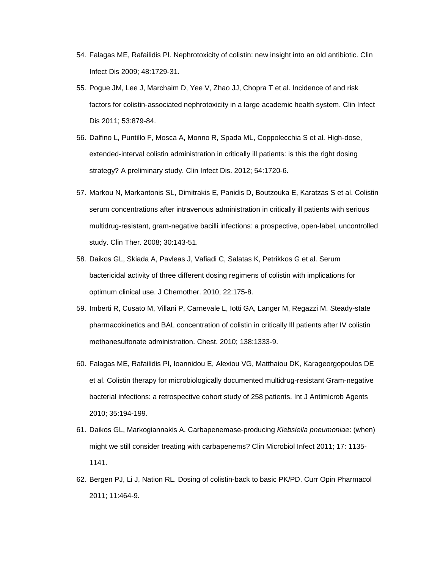- 54. Falagas ME, Rafailidis PI. Nephrotoxicity of colistin: new insight into an old antibiotic. Clin Infect Dis 2009; 48:1729-31.
- 55. Pogue JM, Lee J, Marchaim D, Yee V, Zhao JJ, Chopra T et al. Incidence of and risk factors for colistin-associated nephrotoxicity in a large academic health system. Clin Infect Dis 2011; 53:879-84.
- 56. Dalfino L, Puntillo F, Mosca A, Monno R, Spada ML, Coppolecchia S et al. High-dose, extended-interval colistin administration in critically ill patients: is this the right dosing strategy? A preliminary study. Clin Infect Dis. 2012; 54:1720-6.
- 57. Markou N, Markantonis SL, Dimitrakis E, Panidis D, Boutzouka E, Karatzas S et al. Colistin serum concentrations after intravenous administration in critically ill patients with serious multidrug-resistant, gram-negative bacilli infections: a prospective, open-label, uncontrolled study. Clin Ther. 2008; 30:143-51.
- 58. Daikos GL, Skiada A, Pavleas J, Vafiadi C, Salatas K, Petrikkos G et al. Serum bactericidal activity of three different dosing regimens of colistin with implications for optimum clinical use. J Chemother. 2010; 22:175-8.
- 59. Imberti R, Cusato M, Villani P, Carnevale L, Iotti GA, Langer M, Regazzi M. Steady-state pharmacokinetics and BAL concentration of colistin in critically Ill patients after IV colistin methanesulfonate administration. Chest. 2010; 138:1333-9.
- 60. Falagas ME, Rafailidis PI, Ioannidou E, Alexiou VG, Matthaiou DK, Karageorgopoulos DE et al. Colistin therapy for microbiologically documented multidrug-resistant Gram-negative bacterial infections: a retrospective cohort study of 258 patients. Int J Antimicrob Agents 2010; 35:194-199.
- 61. Daikos GL, Markogiannakis A. Carbapenemase-producing *Klebsiella pneumoniae*: (when) might we still consider treating with carbapenems? Clin Microbiol Infect 2011; 17: 1135- 1141.
- 62. Bergen PJ, Li J, Nation RL. Dosing of colistin-back to basic PK/PD. Curr Opin Pharmacol 2011; 11:464-9.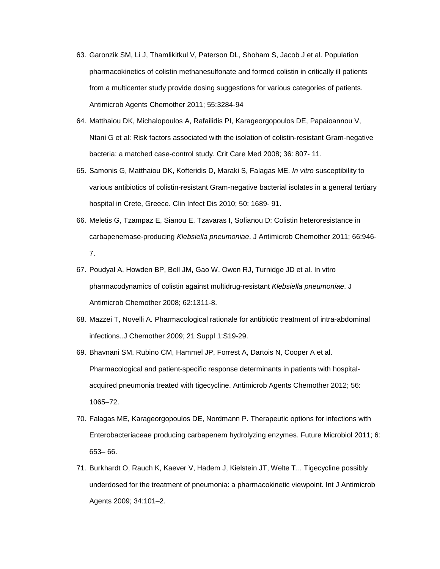- 63. Garonzik SM, Li J, Thamlikitkul V, Paterson DL, Shoham S, Jacob J et al. Population pharmacokinetics of colistin methanesulfonate and formed colistin in critically ill patients from a multicenter study provide dosing suggestions for various categories of patients. Antimicrob Agents Chemother 2011; 55:3284-94
- 64. Matthaiou DK, Michalopoulos A, Rafailidis PI, Karageorgopoulos DE, Papaioannou V, Ntani G et al: Risk factors associated with the isolation of colistin-resistant Gram-negative bacteria: a matched case-control study. Crit Care Med 2008; 36: 807- 11.
- 65. Samonis G, Matthaiou DK, Kofteridis D, Maraki S, Falagas ME. *In vitro* susceptibility to various antibiotics of colistin-resistant Gram-negative bacterial isolates in a general tertiary hospital in Crete, Greece. Clin Infect Dis 2010; 50: 1689- 91.
- 66. Meletis G, Tzampaz E, Sianou E, Tzavaras I, Sofianou D: Colistin heteroresistance in carbapenemase-producing *Klebsiella pneumoniae*. J Antimicrob Chemother 2011; 66:946- 7.
- 67. Poudyal A, Howden BP, Bell JM, Gao W, Owen RJ, Turnidge JD et al. In vitro pharmacodynamics of colistin against multidrug-resistant *Klebsiella pneumoniae*. J Antimicrob Chemother 2008; 62:1311-8.
- 68. Mazzei T, Novelli A. Pharmacological rationale for antibiotic treatment of intra-abdominal infections..J Chemother 2009; 21 Suppl 1:S19-29.
- 69. Bhavnani SM, Rubino CM, Hammel JP, Forrest A, Dartois N, Cooper A et al. Pharmacological and patient-specific response determinants in patients with hospitalacquired pneumonia treated with tigecycline. Antimicrob Agents Chemother 2012; 56: 1065–72.
- 70. Falagas ME, Karageorgopoulos DE, Nordmann P. Therapeutic options for infections with Enterobacteriaceae producing carbapenem hydrolyzing enzymes. Future Microbiol 2011; 6: 653– 66.
- 71. Burkhardt O, Rauch K, Kaever V, Hadem J, Kielstein JT, Welte T... Tigecycline possibly underdosed for the treatment of pneumonia: a pharmacokinetic viewpoint. Int J Antimicrob Agents 2009; 34:101–2.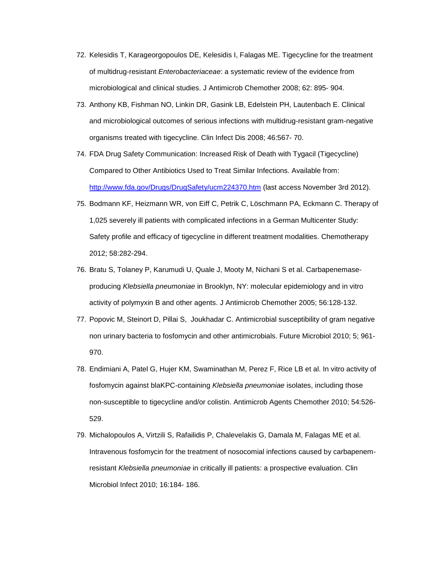- 72. Kelesidis T, Karageorgopoulos DE, Kelesidis I, Falagas ME. Tigecycline for the treatment of multidrug-resistant *Enterobacteriaceae*: a systematic review of the evidence from microbiological and clinical studies. J Antimicrob Chemother 2008; 62: 895- 904.
- 73. Anthony KB, Fishman NO, Linkin DR, Gasink LB, Edelstein PH, Lautenbach E. Clinical and microbiological outcomes of serious infections with multidrug-resistant gram-negative organisms treated with tigecycline. Clin Infect Dis 2008; 46:567- 70.
- 74. FDA Drug Safety Communication: Increased Risk of Death with Tygacil (Tigecycline) Compared to Other Antibiotics Used to Treat Similar Infections. Available from: <http://www.fda.gov/Drugs/DrugSafety/ucm224370.htm> (last access November 3rd 2012).
- 75. Bodmann KF, Heizmann WR, von Eiff C, Petrik C, Löschmann PA, Eckmann C. Therapy of 1,025 severely ill patients with complicated infections in a German Multicenter Study: Safety profile and efficacy of tigecycline in different treatment modalities. Chemotherapy 2012; 58:282-294.
- 76. Bratu S, Tolaney P, Karumudi U, Quale J, Mooty M, Nichani S et al. Carbapenemaseproducing *Klebsiella pneumoniae* in Brooklyn, NY: molecular epidemiology and in vitro activity of polymyxin B and other agents. J Antimicrob Chemother 2005; 56:128-132.
- 77. Popovic M, Steinort D, Pillai S, Joukhadar C. Antimicrobial susceptibility of gram negative non urinary bacteria to fosfomycin and other antimicrobials. Future Microbiol 2010; 5; 961- 970.
- 78. Endimiani A, Patel G, Hujer KM, Swaminathan M, Perez F, Rice LB et al. In vitro activity of fosfomycin against blaKPC-containing *Klebsiella pneumoniae* isolates, including those non-susceptible to tigecycline and/or colistin. Antimicrob Agents Chemother 2010; 54:526- 529.
- 79. Michalopoulos A, Virtzili S, Rafailidis P, Chalevelakis G, Damala M, Falagas ME et al. Intravenous fosfomycin for the treatment of nosocomial infections caused by carbapenemresistant *Klebsiella pneumoniae* in critically ill patients: a prospective evaluation. Clin Microbiol Infect 2010; 16:184- 186.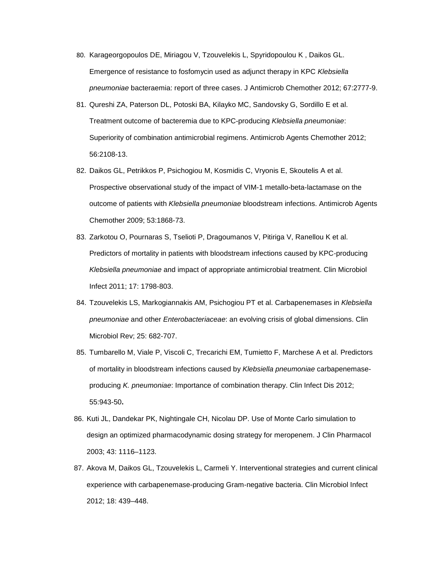- 80. Karageorgopoulos DE, Miriagou V, Tzouvelekis L, Spyridopoulou K , Daikos GL. Emergence of resistance to fosfomycin used as adjunct therapy in KPC *Klebsiella pneumoniae* bacteraemia: report of three cases. J Antimicrob Chemother 2012; 67:2777-9.
- 81. Qureshi ZA, Paterson DL, Potoski BA, Kilayko MC, Sandovsky G, Sordillo E et al. Treatment outcome of bacteremia due to KPC-producing *Klebsiella pneumoniae*: Superiority of combination antimicrobial regimens. Antimicrob Agents Chemother 2012; 56:2108-13.
- 82. Daikos GL, Petrikkos P, Psichogiou M, Kosmidis C, Vryonis E, Skoutelis A et al. Prospective observational study of the impact of VIM-1 metallo-beta-lactamase on the outcome of patients with *Klebsiella pneumoniae* bloodstream infections. Antimicrob Agents Chemother 2009; 53:1868-73.
- 83. Zarkotou O, Pournaras S, Tselioti P, Dragoumanos V, Pitiriga V, Ranellou K et al. Predictors of mortality in patients with bloodstream infections caused by KPC-producing *Klebsiella pneumoniae* and impact of appropriate antimicrobial treatment. Clin Microbiol Infect 2011; 17: 1798-803.
- 84. Tzouvelekis LS, Markogiannakis AM, Psichogiou PT et al. Carbapenemases in *Klebsiella pneumoniae* and other *Enterobacteriaceae*: an evolving crisis of global dimensions. Clin Microbiol Rev; 25: 682-707.
- 85. Tumbarello M, Viale P, Viscoli C, Trecarichi EM, Tumietto F, Marchese A et al. Predictors of mortality in bloodstream infections caused by *Klebsiella pneumoniae* carbapenemaseproducing *K. pneumoniae*: Importance of combination therapy. Clin Infect Dis 2012; 55:943-50**.**
- 86. Kuti JL, Dandekar PK, Nightingale CH, Nicolau DP. Use of Monte Carlo simulation to design an optimized pharmacodynamic dosing strategy for meropenem. J Clin Pharmacol 2003; 43: 1116–1123.
- 87. Akova M, Daikos GL, Tzouvelekis L, Carmeli Y. Interventional strategies and current clinical experience with carbapenemase-producing Gram-negative bacteria. Clin Microbiol Infect 2012; 18: 439–448.